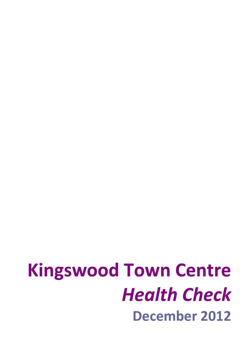# **Kingswood Town Centre** *Health Check* **December 2012**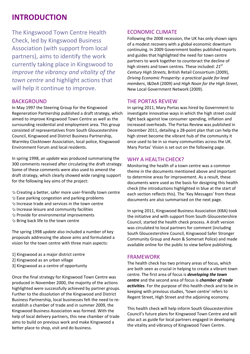### **INTRODUCTION**

The Kingswood Town Centre Health Check, led by Kingswood Business Association (with support from local partners), aims to identify the work currently taking place in Kingswood to *improve the vibrancy and vitality of the town centre* and highlight actions that will help it continue to improve.

### **BACKGROUND**

In May 1997 the Steering Group for the Kingswood Regeneration Partnership published a draft strategy, which aimed to improve Kingswood Town Centre as well as the surrounding residential and employment area. This group consisted of representatives from South Gloucestershire Council, Kingswood and District Business Partnership, Warmley Clocktower Association, local police, Kingswood Environment Forum and local residents.

In spring 1998, an *update* was produced summarising the 300 comments received after circulating the draft strategy. Some of these comments were also used to amend the draft strategy, which clearly showed wide ranging support for the following key aims of the project:

- Creating a better, safer more user‐friendly town centre
- $\Diamond$  Ease parking congestion and parking problems
- $\Im$  Increase trade and services in the town centre
- $\Im$  Increase leisure and community facilities
- $\Diamond$  Provide for environmental improvements
- $\Im$  Bring back life to the town centre

The spring 1998 *update* also included a number of key proposals addressing the above aims and formulated a vision for the town centre with three main aspects:

- 1] Kingswood as a major district centre
- 2] Kingswood as an urban village
- 3] Kingswood as a centre of opportunity

Once the final strategy for Kingswood Town Centre was produced in November 2000, the majority of the actions highlighted were successfully achieved by partner groups. Further to the dissolution of the Kingswood and District Business Partnership, local businesses felt the need to re‐ establish a chamber of trade and in summer 2009, the Kingswood Business Association was formed. With the help of local delivery partners, this new chamber of trade aims to build on previous work and make Kingswood a better place to shop, visit and do business.

### ECONOMIC CLIMATE

Following the 2008 recession, the UK has only shown signs of a modest recovery with a global economic downturn continuing. In 2009 Government bodies published reports and guides that highlighted the need for town centre partners to work together to counteract the decline of high streets and town centres. These included: *21st Century High Streets*, British Retail Consortium (2009), *Driving Economic Prosperity: a practical guide for lead members*, I&DeA (2009) and *High Noon for the High Street*, New Local Government Network (2009).

### THE PORTAS REVIEW

In spring 2011, Mary Portas was hired by Government to investigate innovative ways in which the high street could fight back against low consumer spending, inflation and increased overheads. The Portas Review was published in December 2011, detailing a 28‐point plan that can help the high street become the vibrant hub of the community it once used to be in so many communities across the UK. Mary Portas' Vision is set out on the following page.

### WHY A HEALTH CHECK?

Monitoring the health of a town centre was a common theme in the documents mentioned above and important to determine areas for improvement. As a result, these documents were used as the basis for designing this health check (the introductions highlighted in blue at the start of each section reflects this). The 'Key Messages' from these documents are also summarised on the next page.

In spring 2011, Kingswood Business Association (KBA) took the initiative and with support from South Gloucestershire Council, started the health check process. A draft version was circulated to local partners for comment (including South Gloucestershire Council, Kingswood Safer Stronger Community Group and Avon & Somerset Police) and made available online for the public to view before publishing.

### FRAMEWORK

The health check has two primary areas of focus, which are both seen as crucial in helping to create a vibrant town centre. The first area of focus is *developing the town centre* and the second area of focus is *chamber of trade activities*. For the purpose of this health check and to be in keeping with previous studies, **'**town centre' refers to Regent Street, High Street and the adjoining economy.

This health check will help inform South Gloucestershire Council's future plans for Kingswood Town Centre and will also act as guide for local partners engaged in developing the vitality and vibrancy of Kingswood Town Centre.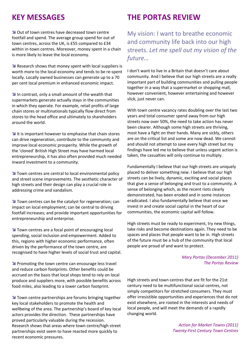Out of town centres have decreased town centre footfall and spend. The average group spend for out of town centres, across the UK, is £55 compared to £34 within in-town centres. Moreover, money spent in a chain is more likely to leave the local economy.

**N** Research shows that money spent with local suppliers is worth more to the local economy and tends to be re‐spent locally. Locally owned businesses can generate up to a 70 per cent local premium in enhanced economic impact.

In contrast, only a small amount of the wealth that supermarkets generate actually stays in the communities in which they operate. For example, retail profits of large chain stores or multinationals typically flow direct from stores to the head office and ultimately to shareholders around the world.

 $\blacktriangleright$  It is important however to emphasise that chain stores can drive regeneration, contribute to the community and improve local economic prosperity. While the growth of the 'cloned' British High Street may have harmed local entrepreneurship, it has also often provided much needed inward investment to a community.

**N** Town centres are central to local environmental policy and street scene improvements. The aesthetic character of high streets and their design can play a crucial role in addressing crime and vandalism.

**N** Town centres can be the catalyst for regeneration; can impact on local employment; can be central to driving footfall increases; and provide important opportunities for entrepreneurship and enterprise.

**N** Town centres are a focal point of encouraging local spending, social inclusion and empowerment. Added to this, regions with higher economic performance, often driven by the performance of the town centre, are recognised to have higher levels of social trust and capital.

**Promoting the town centre can encourage less travel** and reduce carbon footprints. Other benefits could be accrued on the basis that local shops tend to rely on local produce and suppliers more, with possible benefits across food miles, also leading to a lower carbon footprint.

**N** Town centre partnerships are forums bringing together key local stakeholders to promote the health and wellbeing of the area. The partnership's board of key local actors provides the direction. These partnerships have proved particularly valuable during the recession. Research shows that areas where town centre/high street partnerships exist seem to have reacted more quickly to recent economic pressures.

### **KEY MESSAGES THE PORTAS REVIEW**

My vision: I want to breathe economic and community life back into our high streets. *Let me spell out my vision of the future…*

I don't want to live in a Britain that doesn't care about community. And I believe that our high streets are a really important part of building communities and pulling people together in a way that a supermarket or shopping mall, however convenient, however entertaining and however slick, just never can.

With town centre vacancy rates doubling over the last two years and total consumer spend away from our high streets now over 50%, the need to take action has never been clearer. Although some high streets are thriving, most have a fight on their hands. Many are sickly, others are on the critical list and some are now dead. We cannot and should not attempt to save every high street but my findings have led me to believe that unless urgent action is taken, the casualties will only continue to multiply.

Fundamentally I believe that our high streets are uniquely placed to deliver something new. I believe that our high streets can be lively, dynamic, exciting and social places that give a sense of belonging and trust to a community. A sense of belonging which, as the recent riots clearly demonstrated, has been eroded and in some instances eradicated. I also fundamentally believe that once we invest in and create social capital in the heart of our communities, the economic capital will follow.

High streets must be ready to experiment, try new things, take risks and become destinations again. They need to be spaces and places that people want to be in. High streets of the future must be a hub of the community that local people are proud of and want to protect.

### *Mary Portas (December 2011) The Portas Review*

High streets and town centres that are fit for the 21st century need to be multifunctional social centres, not simply competitors for stretched consumers. They must offer irresistible opportunities and experiences that do not exist elsewhere, are rooted in the interests and needs of local people, and will meet the demands of a rapidly changing world.

> *Action for Market Towns (2011) Twenty‐First Century Town Centres*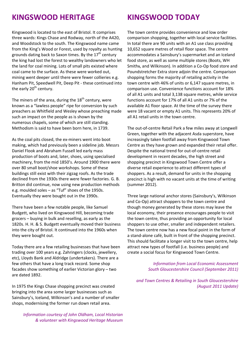### **KINGSWOOD HERITAGE KINGSWOOD TODAY**

Kingswood is located to the east of Bristol. It comprises three wards: Kings Chase and Rodway, north of the A420, and Woodstock to the south. The Kingswood name came from the King's Wood or Forest, used by royalty as hunting grounds dating back to Saxon times. By the  $17<sup>th</sup>$  century the king had lost the forest to wealthy landowners who let the land for coal mining. Lots of small pits existed where coal came to the surface. As these were worked out, mining went deeper until there were fewer collieries e.g. Hanham Pit, Speedwell Pit, Deep Pit ‐ these continued into the early  $20<sup>th</sup>$  century.

The miners of the area, during the  $18<sup>th</sup>$  century, were known as a "lawless people" ripe for conversion by such preachers as Whitfield and Wesley whose preaching made such an impact on the people as is shown by the numerous chapels, some of which are still standing. Methodism is said to have been born here, in 1739.

As the coal pits closed, the ex‐miners went into boot making, which had previously been a sideline job. Messrs Daniel Flook and Abraham Fussell led early mass production of boots and, later, shoes, using specialised machinery, from the mid 1850's. Around 1900 there were over 80 small boot/shoe workshops. Some of these buildings still exist with their zigzag roofs. As the trade declined from the 1930s there were fewer factories. G. B. Britton did continue, now using new production methods e.g. moulded soles – as "Tuf" shoes of the 1950s. Eventually they were bought out in the 1990s.

There have been a few notable people, like Samuel Budgett, who lived on Kingswood Hill, becoming trade grocers – buying in bulk and reselling, as early as the 1820s. H. H. & S. Budgett eventually moved their business into the city of Bristol. It continued into the 1960s when they were bought out.

Today there are a few retailing businesses that have been trading over 100 years e.g. Zahringers (clocks, jewellery, etc), Lloyds Bank and Aldridge (undertakers). There are a few others that have a long track record. Some shop facades show something of earlier Victorian glory – two are dated 1892.

In 1975 the Kings Chase shopping precinct was created bringing into the area some larger businesses such as Sainsbury's, Iceland, Wilkinson's and a number of smaller shops, modernising the former run down retail area.

*Information courtesy of John Oldham, Local Historian & volunteer with Kingswood Heritage Museum*

The town centre provides convenience and low order comparison shopping, together with local service facilities. In total there are 90 units with an A1 use class providing 10,652 square metres of retail floor space. The centre accommodates a Sainsbury's supermarket and an Iceland food store, as well as some multiple stores (Boots, WH Smiths, and Wilkinson). In addition a Co‐Op food store and Poundstretcher Extra store adjoin the centre. Comparison shopping forms the majority of retailing activity in the town centre with 46% of units or 6,147 square metres, in comparison use. Convenience functions account for 18% of all A1 units and total 3,138 square metres, while service functions account for 17% of all A1 units or 7% of the available A1 floor space. At the time of the survey there were 18 vacant or empty A1 units. This represents 20% of all A1 retail units in the town centre.

The out‐of‐centre Retail Park a few miles away at Longwell Green, together with the adjacent Asda superstore, have increasingly taken footfall away from Kingswood Town Centre as they have grown and expanded their retail offer. Despite the national trend for out‐of‐centre retail development in recent decades, the high street and shopping precinct in Kingswood Town Centre offer a diverse retail experience to attract different types of shoppers. As a result, demand for units in the shopping precinct is high with no vacant units at the time of writing (summer 2012).

Three large national anchor stores (Sainsbury's, Wilkinson and Co‐Op) attract shoppers to the town centre and though money generated by these stores may leave the local economy, their presence encourages people to visit the town centre, thus providing an opportunity for local shoppers to use other, smaller and independent retailers. The town centre now has a new focal point in the form of a stand‐alone café, built in front of the shopping precinct. This should facilitate a longer visit to the town centre, help attract new types of footfall (i.e. business people) and create a social focus for Kingswood Town Centre.

> *Information from Local Economic Assessment South Gloucestershire Council (September 2011)*

*and Town Centres & Retailing in South Gloucestershire (August 2011 Update)*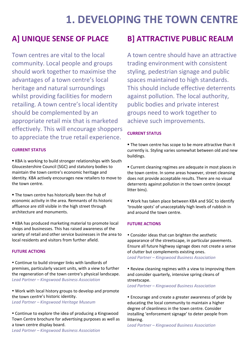## **1. DEVELOPING THE TOWN CENTRE**

Town centres are vital to the local community. Local people and groups should work together to maximise the advantages of a town centre's local heritage and natural surroundings whilst providing facilities for modern retailing. A town centre's local identity should be complemented by an appropriate retail mix that is marketed effectively. This will encourage shoppers to appreciate the true retail experience.

### **CURRENT STATUS**

 KBA is working to build stronger relationships with South Gloucestershire Council (SGC) and statutory bodies to maintain the town centre's economic heritage and identity. KBA actively encourages new retailers to move to the town centre.

**The town centre has historically been the hub of** economic activity in the area. Remnants of its historic affluence are still visible in the high street through architecture and monuments.

 KBA has produced marketing material to promote local shops and businesses. This has raised awareness of the variety of retail and other service businesses in the area to local residents and visitors from further afield.

### **FUTURE ACTIONS**

 Continue to build stronger links with landlords of premises, particularly vacant units, with a view to further the regeneration of the town centre's physical landscape. *Lead Partner – Kingswood Business Association*

 Work with local history groups to develop and promote the town centre's historic identity. *Lead Partner – Kingswood Heritage Museum*

 Continue to explore the idea of producing a Kingswood Town Centre brochure for advertising purposes as well as a town centre display board.

*Lead Partner – Kingswood Business Association*

### **A] UNIQUE SENSE OF PLACE B] ATTRACTIVE PUBLIC REALM**

A town centre should have an attractive trading environment with consistent styling, pedestrian signage and public spaces maintained to high standards. This should include effective deterrents against pollution. The local authority, public bodies and private interest groups need to work together to achieve such improvements.

### **CURRENT STATUS**

The town centre has scope to be more attractive than it currently is. Styling varies somewhat between old and new buildings.

 Current cleaning regimes are adequate in most places in the town centre. In some areas however, street cleansing does not provide acceptable results. There are no visual deterrents against pollution in the town centre (except litter bins).

 Work has taken place between KBA and SGC to identify 'trouble spots' of unacceptably high levels of rubbish in and around the town centre.

### **FUTURE ACTIONS**

 Consider ideas that can brighten the aesthetic appearance of the streetscape, in particular pavements. Ensure all future highway signage does not create a sense of clutter but complements existing ones. *Lead Partner – Kingswood Business Association*

 Review cleaning regimes with a view to improving them and consider quarterly, intensive spring cleans of streetscape.

*Lead Partner – Kingswood Business Association*

 Encourage and create a greater awareness of pride by educating the local community to maintain a higher degree of cleanliness in the town centre. Consider installing 'enforcement signage' to deter people from littering.

*Lead Partner – Kingswood Business Association*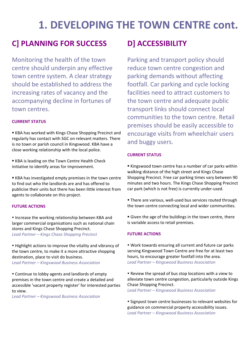## **1. DEVELOPING THE TOWN CENTRE cont.**

### **C] PLANNING FOR SUCCESS D] ACCESSIBILITY**

Monitoring the health of the town centre should underpin any effective town centre system. A clear strategy should be established to address the increasing rates of vacancy and the accompanying decline in fortunes of town centres.

### **CURRENT STATUS**

 KBA has worked with Kings Chase Shopping Precinct and regularly has contact with SGC on relevant matters. There is no town or parish council in Kingswood. KBA have a close working relationship with the local police.

**KBA** is leading on the Town Centre Health Check initiative to identify areas for improvement.

 KBA has investigated empty premises in the town centre to find out who the landlords are and has offered to publicise their units but there has been little interest from agents to collaborate on this project.

### **FUTURE ACTIONS**

• Increase the working relationship between KBA and larger commercial organisations such as national chain stores and Kings Chase Shopping Precinct. *Lead Partner – Kings Chase Shopping Precinct*

• Highlight actions to improve the vitality and vibrancy of the town centre, to make it a more attractive shopping destination, place to visit do business. *Lead Partner – Kingswood Business Association*

 Continue to lobby agents and landlords of empty premises in the town centre and create a detailed and accessible 'vacant property register' for interested parties to view.

*Lead Partner – Kingswood Business Association*

Parking and transport policy should reduce town centre congestion and parking demands without affecting footfall. Car parking and cycle locking facilities need to attract customers to the town centre and adequate public transport links should connect local communities to the town centre. Retail premises should be easily accessible to encourage visits from wheelchair users and buggy users.

### **CURRENT STATUS**

 Kingswood town centre has a number of car parks within walking distance of the high street and Kings Chase Shopping Precinct. Free car parking times vary between 90 minutes and two hours. The Kings Chase Shopping Precinct car park (which is not free) is currently under‐used.

- There are various, well-used bus services routed through the town centre connecting local and wider communities.
- Given the age of the buildings in the town centre, there is variable access to retail premises.

### **FUTURE ACTIONS**

 Work towards ensuring all current and future car parks serving Kingswood Town Centre are free for at least two hours, to encourage greater footfall into the area. *Lead Partner – Kingswood Business Association*

 Review the spread of bus stop locations with a view to alleviate town centre congestion, particularly outside Kings Chase Shopping Precinct.

*Lead Partner – Kingswood Business Association*

• Signpost town centre businesses to relevant websites for guidance on commercial property accessibility issues. *Lead Partner – Kingswood Business Association*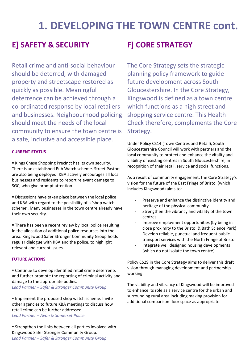## **1. DEVELOPING THE TOWN CENTRE cont.**

### **E] SAFETY & SECURITY F] CORE STRATEGY**

Retail crime and anti‐social behaviour should be deterred, with damaged property and streetscape restored as quickly as possible. Meaningful deterrence can be achieved through a co‐ordinated response by local retailers and businesses. Neighbourhood policing should meet the needs of the local community to ensure the town centre is a safe, inclusive and accessible place.

### **CURRENT STATUS**

Kings Chase Shopping Precinct has its own security. There is an established Pub Watch scheme. Street Pastors are also being deployed. KBA actively encourages all local businesses and residents to report relevant damage to SGC, who give prompt attention.

 Discussions have taken place between the local police and KBA with regard to the possibility of a 'shop watch scheme'. Many businesses in the town centre already have their own security.

**There has been a recent review by local police resulting** in the allocation of additional police resources into the area. Kingswood Safer Stronger Community Group holds regular dialogue with KBA and the police, to highlight relevant and current issues.

### **FUTURE ACTIONS**

 Continue to develop identified retail crime deterrents and further promote the reporting of criminal activity and damage to the appropriate bodies. *Lead Partner – Safer & Stronger Community Group*

• Implement the proposed shop watch scheme. Invite other agencies to future KBA meetings to discuss how retail crime can be further addressed. *Lead Partner – Avon & Somerset Police*

 Strengthen the links between all parties involved with Kingswood Safer Stronger Community Group. *Lead Partner – Safer & Stronger Community Group*

The Core Strategy sets the strategic planning policy framework to guide future development across South Gloucestershire. In the Core Strategy, Kingswood is defined as a town centre which functions as a high street and shopping service centre. This Health Check therefore, complements the Core Strategy.

Under Policy CS14 (Town Centres and Retail), South Gloucestershire Council will work with partners and the local community to protect and enhance the vitality and viability of existing centres in South Gloucestershire, in recognition of their retail, service and social functions.

As a result of community engagement, the Core Strategy's vision for the future of the East Fringe of Bristol (which includes Kingswood) aims to:

- Preserve and enhance the distinctive identity and heritage of the physical community
- Strengthen the vibrancy and vitality of the town centres
- ‐ Improve employment opportunities (by being in close proximity to the Bristol & Bath Science Park)
- Develop reliable, punctual and frequent public transport services with the North Fringe of Bristol
- ‐ Integrate well designed housing developments (which do not isolate the town centre)

Policy CS29 in the Core Strategy aims to deliver this draft vision through managing development and partnership working.

The viability and vibrancy of Kingswood will be improved to enhance its role as a service centre for the urban and surrounding rural area including making provision for additional comparison floor space as appropriate.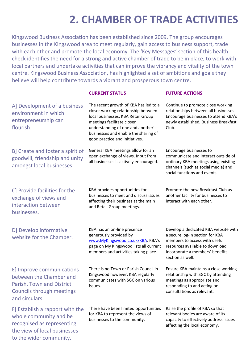## **2. CHAMBER OF TRADE ACTIVITIES**

Kingswood Business Association has been established since 2009. The group encourages businesses in the Kingswood area to meet regularly, gain access to business support, trade with each other and promote the local economy. The 'Key Messages' section of this health check identifies the need for a strong and active chamber of trade to be in place, to work with local partners and undertake activities that can improve the vibrancy and vitality of the town centre. Kingswood Business Association, has highlighted a set of ambitions and goals they believe will help contribute towards a vibrant and prosperous town centre.

#### **CURRENT STATUS FUTURE ACTIONS**

| A] Development of a business<br>environment in which<br>entrepreneurship can<br>flourish.                                               | The recent growth of KBA has led to a<br>closer working relationship between<br>local businesses. KBA Retail Group<br>meetings facilitate closer<br>understanding of one and another's<br>businesses and enable the sharing of<br>good practice and initiatives. | Continue to promote close working<br>relationships between all businesses.<br>Encourage businesses to attend KBA's<br>newly established, Business Breakfast<br>Club.                                |
|-----------------------------------------------------------------------------------------------------------------------------------------|------------------------------------------------------------------------------------------------------------------------------------------------------------------------------------------------------------------------------------------------------------------|-----------------------------------------------------------------------------------------------------------------------------------------------------------------------------------------------------|
| B] Create and foster a spirit of<br>goodwill, friendship and unity<br>amongst local businesses.                                         | General KBA meetings allow for an<br>open exchange of views. Input from<br>all businesses is actively encouraged.                                                                                                                                                | Encourage businesses to<br>communicate and interact outside of<br>ordinary KBA meetings using existing<br>channels (such as social media) and<br>social functions and events.                       |
| C] Provide facilities for the<br>exchange of views and<br>interaction between<br>businesses.                                            | KBA provides opportunities for<br>businesses to meet and discuss issues<br>affecting their business at the main<br>and Retail Group meetings.                                                                                                                    | Promote the new Breakfast Club as<br>another facility for businesses to<br>interact with each other.                                                                                                |
| D] Develop informative<br>website for the Chamber.                                                                                      | KBA has an on-line presence<br>generously provided by<br>www.MyKingswood.co.uk/KBA. KBA's<br>page on My Kingswood lists all current<br>members and activities taking place.                                                                                      | Develop a dedicated KBA website with<br>a secure log-in section for KBA<br>members to access with useful<br>resources available to download.<br>Incorporate a members' benefits<br>section as well. |
| E] Improve communications<br>between the Chamber and<br>Parish, Town and District<br><b>Councils through meetings</b><br>and circulars. | There is no Town or Parish Council in<br>Kingswood however, KBA regularly<br>communicates with SGC on various<br>issues.                                                                                                                                         | Ensure KBA maintains a close working<br>relationship with SGC by attending<br>meetings as appropriate and<br>responding to and acting on<br>consultations as relevant.                              |
| F] Establish a rapport with the<br>whole community and be<br>recognised as representing<br>the view of local businesses                 | There have been limited opportunities<br>for KBA to represent the views of<br>businesses to the community.                                                                                                                                                       | Raise the profile of KBA so that<br>relevant bodies are aware of its<br>capacity to effectively address issues<br>affecting the local economy.                                                      |

to the wider community.